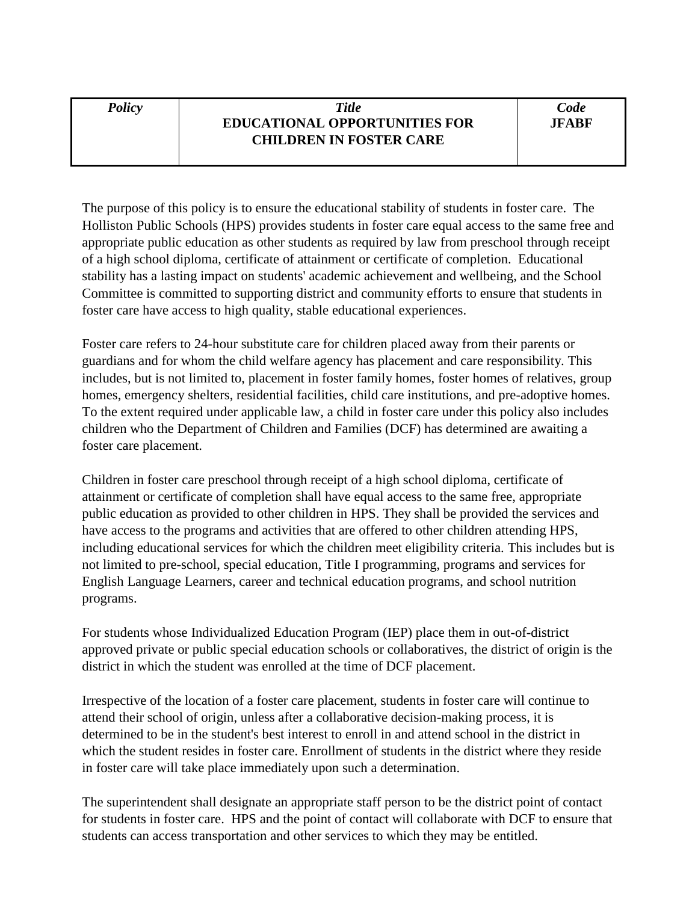## *Policy Title* **EDUCATIONAL OPPORTUNITIES FOR CHILDREN IN FOSTER CARE**

The purpose of this policy is to ensure the educational stability of students in foster care. The Holliston Public Schools (HPS) provides students in foster care equal access to the same free and appropriate public education as other students as required by law from preschool through receipt of a high school diploma, certificate of attainment or certificate of completion. Educational stability has a lasting impact on students' academic achievement and wellbeing, and the School Committee is committed to supporting district and community efforts to ensure that students in foster care have access to high quality, stable educational experiences.

Foster care refers to 24-hour substitute care for children placed away from their parents or guardians and for whom the child welfare agency has placement and care responsibility. This includes, but is not limited to, placement in foster family homes, foster homes of relatives, group homes, emergency shelters, residential facilities, child care institutions, and pre-adoptive homes. To the extent required under applicable law, a child in foster care under this policy also includes children who the Department of Children and Families (DCF) has determined are awaiting a foster care placement.

Children in foster care preschool through receipt of a high school diploma, certificate of attainment or certificate of completion shall have equal access to the same free, appropriate public education as provided to other children in HPS. They shall be provided the services and have access to the programs and activities that are offered to other children attending HPS, including educational services for which the children meet eligibility criteria. This includes but is not limited to pre-school, special education, Title I programming, programs and services for English Language Learners, career and technical education programs, and school nutrition programs.

For students whose Individualized Education Program (IEP) place them in out-of-district approved private or public special education schools or collaboratives, the district of origin is the district in which the student was enrolled at the time of DCF placement.

Irrespective of the location of a foster care placement, students in foster care will continue to attend their school of origin, unless after a collaborative decision-making process, it is determined to be in the student's best interest to enroll in and attend school in the district in which the student resides in foster care. Enrollment of students in the district where they reside in foster care will take place immediately upon such a determination.

The superintendent shall designate an appropriate staff person to be the district point of contact for students in foster care. HPS and the point of contact will collaborate with DCF to ensure that students can access transportation and other services to which they may be entitled.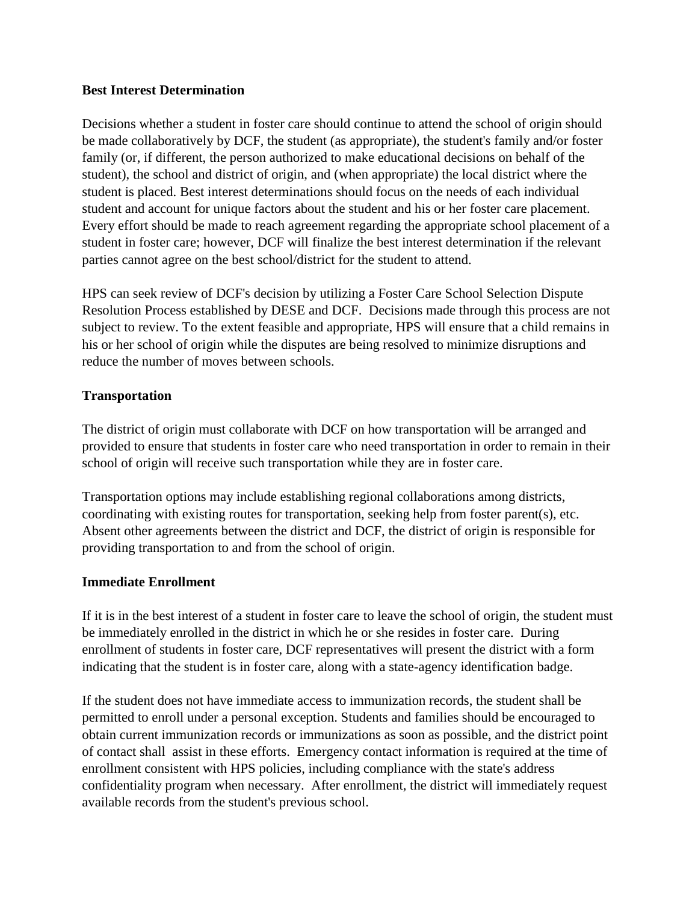## **Best Interest Determination**

Decisions whether a student in foster care should continue to attend the school of origin should be made collaboratively by DCF, the student (as appropriate), the student's family and/or foster family (or, if different, the person authorized to make educational decisions on behalf of the student), the school and district of origin, and (when appropriate) the local district where the student is placed. Best interest determinations should focus on the needs of each individual student and account for unique factors about the student and his or her foster care placement. Every effort should be made to reach agreement regarding the appropriate school placement of a student in foster care; however, DCF will finalize the best interest determination if the relevant parties cannot agree on the best school/district for the student to attend.

HPS can seek review of DCF's decision by utilizing a Foster Care School Selection Dispute Resolution Process established by DESE and DCF. Decisions made through this process are not subject to review. To the extent feasible and appropriate, HPS will ensure that a child remains in his or her school of origin while the disputes are being resolved to minimize disruptions and reduce the number of moves between schools.

## **Transportation**

The district of origin must collaborate with DCF on how transportation will be arranged and provided to ensure that students in foster care who need transportation in order to remain in their school of origin will receive such transportation while they are in foster care.

Transportation options may include establishing regional collaborations among districts, coordinating with existing routes for transportation, seeking help from foster parent(s), etc. Absent other agreements between the district and DCF, the district of origin is responsible for providing transportation to and from the school of origin.

## **Immediate Enrollment**

If it is in the best interest of a student in foster care to leave the school of origin, the student must be immediately enrolled in the district in which he or she resides in foster care. During enrollment of students in foster care, DCF representatives will present the district with a form indicating that the student is in foster care, along with a state-agency identification badge.

If the student does not have immediate access to immunization records, the student shall be permitted to enroll under a personal exception. Students and families should be encouraged to obtain current immunization records or immunizations as soon as possible, and the district point of contact shall assist in these efforts. Emergency contact information is required at the time of enrollment consistent with HPS policies, including compliance with the state's address confidentiality program when necessary. After enrollment, the district will immediately request available records from the student's previous school.